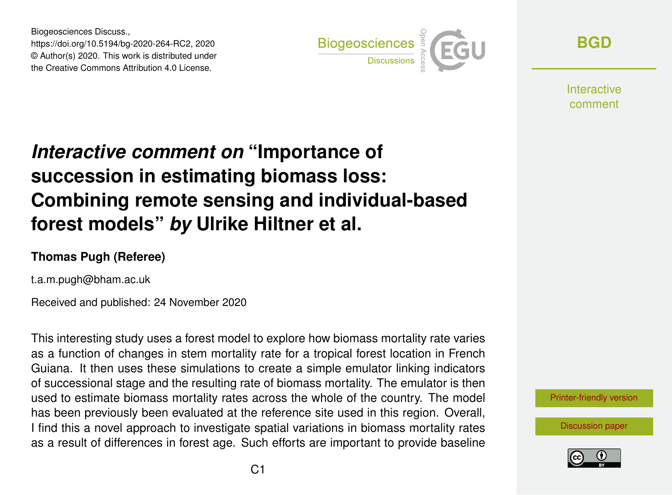Biogeosciences Discuss., https://doi.org/10.5194/bg-2020-264-RC2, 2020 © Author(s) 2020. This work is distributed under the Creative Commons Attribution 4.0 License.



**[BGD](https://bg.copernicus.org/preprints/)**

**Interactive** comment

# *Interactive comment on* **"Importance of succession in estimating biomass loss: Combining remote sensing and individual-based forest models"** *by* **Ulrike Hiltner et al.**

### **Thomas Pugh (Referee)**

t.a.m.pugh@bham.ac.uk

Received and published: 24 November 2020

This interesting study uses a forest model to explore how biomass mortality rate varies as a function of changes in stem mortality rate for a tropical forest location in French Guiana. It then uses these simulations to create a simple emulator linking indicators of successional stage and the resulting rate of biomass mortality. The emulator is then used to estimate biomass mortality rates across the whole of the country. The model has been previously been evaluated at the reference site used in this region. Overall, I find this a novel approach to investigate spatial variations in biomass mortality rates as a result of differences in forest age. Such efforts are important to provide baseline



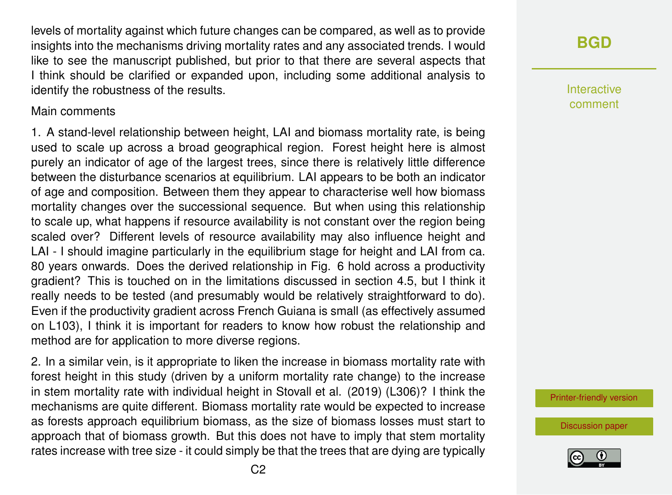levels of mortality against which future changes can be compared, as well as to provide insights into the mechanisms driving mortality rates and any associated trends. I would like to see the manuscript published, but prior to that there are several aspects that I think should be clarified or expanded upon, including some additional analysis to identify the robustness of the results.

#### Main comments

1. A stand-level relationship between height, LAI and biomass mortality rate, is being used to scale up across a broad geographical region. Forest height here is almost purely an indicator of age of the largest trees, since there is relatively little difference between the disturbance scenarios at equilibrium. LAI appears to be both an indicator of age and composition. Between them they appear to characterise well how biomass mortality changes over the successional sequence. But when using this relationship to scale up, what happens if resource availability is not constant over the region being scaled over? Different levels of resource availability may also influence height and LAI - I should imagine particularly in the equilibrium stage for height and LAI from ca. 80 years onwards. Does the derived relationship in Fig. 6 hold across a productivity gradient? This is touched on in the limitations discussed in section 4.5, but I think it really needs to be tested (and presumably would be relatively straightforward to do). Even if the productivity gradient across French Guiana is small (as effectively assumed on L103), I think it is important for readers to know how robust the relationship and method are for application to more diverse regions.

2. In a similar vein, is it appropriate to liken the increase in biomass mortality rate with forest height in this study (driven by a uniform mortality rate change) to the increase in stem mortality rate with individual height in Stovall et al. (2019) (L306)? I think the mechanisms are quite different. Biomass mortality rate would be expected to increase as forests approach equilibrium biomass, as the size of biomass losses must start to approach that of biomass growth. But this does not have to imply that stem mortality rates increase with tree size - it could simply be that the trees that are dying are typically Interactive comment

[Printer-friendly version](https://bg.copernicus.org/preprints/bg-2020-264/bg-2020-264-RC2-print.pdf)

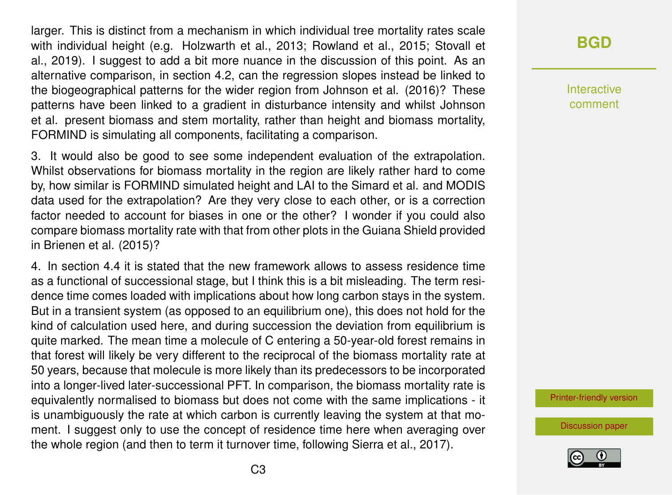larger. This is distinct from a mechanism in which individual tree mortality rates scale with individual height (e.g. Holzwarth et al., 2013; Rowland et al., 2015; Stovall et al., 2019). I suggest to add a bit more nuance in the discussion of this point. As an alternative comparison, in section 4.2, can the regression slopes instead be linked to the biogeographical patterns for the wider region from Johnson et al. (2016)? These patterns have been linked to a gradient in disturbance intensity and whilst Johnson et al. present biomass and stem mortality, rather than height and biomass mortality, FORMIND is simulating all components, facilitating a comparison.

3. It would also be good to see some independent evaluation of the extrapolation. Whilst observations for biomass mortality in the region are likely rather hard to come by, how similar is FORMIND simulated height and LAI to the Simard et al. and MODIS data used for the extrapolation? Are they very close to each other, or is a correction factor needed to account for biases in one or the other? I wonder if you could also compare biomass mortality rate with that from other plots in the Guiana Shield provided in Brienen et al. (2015)?

4. In section 4.4 it is stated that the new framework allows to assess residence time as a functional of successional stage, but I think this is a bit misleading. The term residence time comes loaded with implications about how long carbon stays in the system. But in a transient system (as opposed to an equilibrium one), this does not hold for the kind of calculation used here, and during succession the deviation from equilibrium is quite marked. The mean time a molecule of C entering a 50-year-old forest remains in that forest will likely be very different to the reciprocal of the biomass mortality rate at 50 years, because that molecule is more likely than its predecessors to be incorporated into a longer-lived later-successional PFT. In comparison, the biomass mortality rate is equivalently normalised to biomass but does not come with the same implications - it is unambiguously the rate at which carbon is currently leaving the system at that moment. I suggest only to use the concept of residence time here when averaging over the whole region (and then to term it turnover time, following Sierra et al., 2017).

**[BGD](https://bg.copernicus.org/preprints/)**

Interactive comment

[Printer-friendly version](https://bg.copernicus.org/preprints/bg-2020-264/bg-2020-264-RC2-print.pdf)

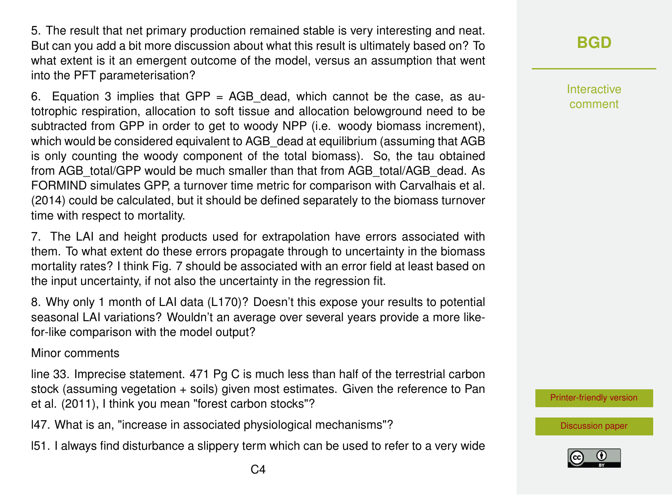5. The result that net primary production remained stable is very interesting and neat. But can you add a bit more discussion about what this result is ultimately based on? To what extent is it an emergent outcome of the model, versus an assumption that went into the PFT parameterisation?

6. Equation 3 implies that GPP = AGB dead, which cannot be the case, as autotrophic respiration, allocation to soft tissue and allocation belowground need to be subtracted from GPP in order to get to woody NPP (i.e. woody biomass increment), which would be considered equivalent to AGB\_dead at equilibrium (assuming that AGB is only counting the woody component of the total biomass). So, the tau obtained from AGB\_total/GPP would be much smaller than that from AGB\_total/AGB\_dead. As FORMIND simulates GPP, a turnover time metric for comparison with Carvalhais et al. (2014) could be calculated, but it should be defined separately to the biomass turnover time with respect to mortality.

7. The LAI and height products used for extrapolation have errors associated with them. To what extent do these errors propagate through to uncertainty in the biomass mortality rates? I think Fig. 7 should be associated with an error field at least based on the input uncertainty, if not also the uncertainty in the regression fit.

8. Why only 1 month of LAI data (L170)? Doesn't this expose your results to potential seasonal LAI variations? Wouldn't an average over several years provide a more likefor-like comparison with the model output?

#### Minor comments

line 33. Imprecise statement. 471 Pg C is much less than half of the terrestrial carbon stock (assuming vegetation + soils) given most estimates. Given the reference to Pan et al. (2011), I think you mean "forest carbon stocks"?

- l47. What is an, "increase in associated physiological mechanisms"?
- l51. I always find disturbance a slippery term which can be used to refer to a very wide

Interactive comment

[Printer-friendly version](https://bg.copernicus.org/preprints/bg-2020-264/bg-2020-264-RC2-print.pdf)

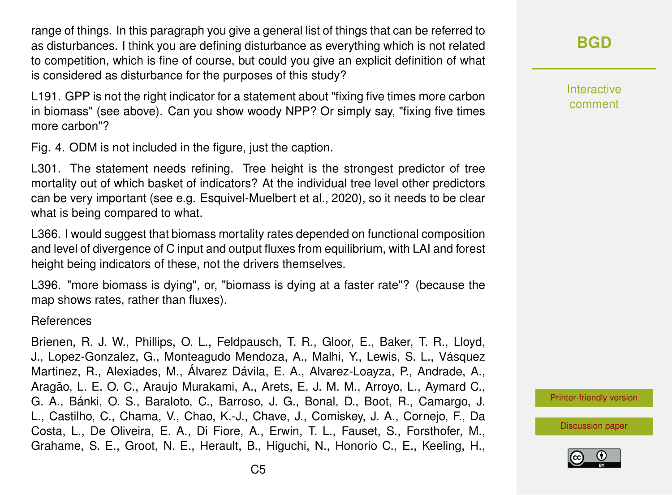range of things. In this paragraph you give a general list of things that can be referred to as disturbances. I think you are defining disturbance as everything which is not related to competition, which is fine of course, but could you give an explicit definition of what is considered as disturbance for the purposes of this study?

L191. GPP is not the right indicator for a statement about "fixing five times more carbon in biomass" (see above). Can you show woody NPP? Or simply say, "fixing five times more carbon"?

Fig. 4. ODM is not included in the figure, just the caption.

L301. The statement needs refining. Tree height is the strongest predictor of tree mortality out of which basket of indicators? At the individual tree level other predictors can be very important (see e.g. Esquivel-Muelbert et al., 2020), so it needs to be clear what is being compared to what.

L366. I would suggest that biomass mortality rates depended on functional composition and level of divergence of C input and output fluxes from equilibrium, with LAI and forest height being indicators of these, not the drivers themselves.

L396. "more biomass is dying", or, "biomass is dying at a faster rate"? (because the map shows rates, rather than fluxes).

References

Brienen, R. J. W., Phillips, O. L., Feldpausch, T. R., Gloor, E., Baker, T. R., Lloyd, J., Lopez-Gonzalez, G., Monteagudo Mendoza, A., Malhi, Y., Lewis, S. L., Vásquez Martinez, R., Alexiades, M., Álvarez Dávila, E. A., Alvarez-Loayza, P., Andrade, A., Aragão, L. E. O. C., Araujo Murakami, A., Arets, E. J. M. M., Arroyo, L., Aymard C., G. A., Bánki, O. S., Baraloto, C., Barroso, J. G., Bonal, D., Boot, R., Camargo, J. L., Castilho, C., Chama, V., Chao, K.-J., Chave, J., Comiskey, J. A., Cornejo, F., Da Costa, L., De Oliveira, E. A., Di Fiore, A., Erwin, T. L., Fauset, S., Forsthofer, M., Grahame, S. E., Groot, N. E., Herault, B., Higuchi, N., Honorio C., E., Keeling, H., **[BGD](https://bg.copernicus.org/preprints/)**

Interactive comment

[Printer-friendly version](https://bg.copernicus.org/preprints/bg-2020-264/bg-2020-264-RC2-print.pdf)

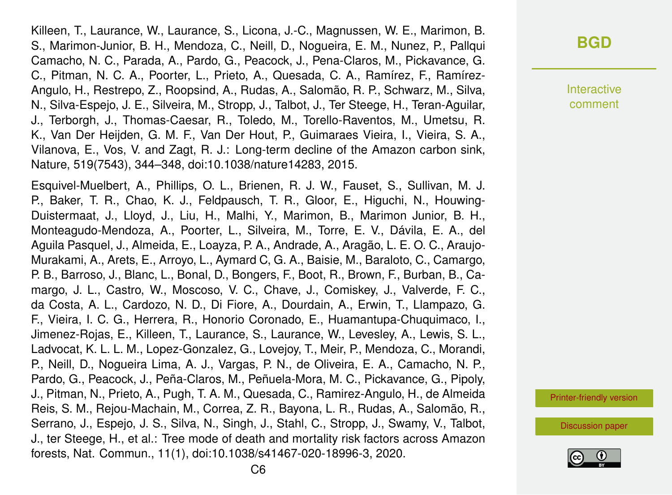Killeen, T., Laurance, W., Laurance, S., Licona, J.-C., Magnussen, W. E., Marimon, B. S., Marimon-Junior, B. H., Mendoza, C., Neill, D., Nogueira, E. M., Nunez, P., Pallqui Camacho, N. C., Parada, A., Pardo, G., Peacock, J., Pena-Claros, M., Pickavance, G. C., Pitman, N. C. A., Poorter, L., Prieto, A., Quesada, C. A., Ramírez, F., Ramírez-Angulo, H., Restrepo, Z., Roopsind, A., Rudas, A., Salomão, R. P., Schwarz, M., Silva, N., Silva-Espejo, J. E., Silveira, M., Stropp, J., Talbot, J., Ter Steege, H., Teran-Aguilar, J., Terborgh, J., Thomas-Caesar, R., Toledo, M., Torello-Raventos, M., Umetsu, R. K., Van Der Heijden, G. M. F., Van Der Hout, P., Guimaraes Vieira, I., Vieira, S. A., Vilanova, E., Vos, V. and Zagt, R. J.: Long-term decline of the Amazon carbon sink, Nature, 519(7543), 344–348, doi:10.1038/nature14283, 2015.

Esquivel-Muelbert, A., Phillips, O. L., Brienen, R. J. W., Fauset, S., Sullivan, M. J. P., Baker, T. R., Chao, K. J., Feldpausch, T. R., Gloor, E., Higuchi, N., Houwing-Duistermaat, J., Lloyd, J., Liu, H., Malhi, Y., Marimon, B., Marimon Junior, B. H., Monteagudo-Mendoza, A., Poorter, L., Silveira, M., Torre, E. V., Dávila, E. A., del Aguila Pasquel, J., Almeida, E., Loayza, P. A., Andrade, A., Aragão, L. E. O. C., Araujo-Murakami, A., Arets, E., Arroyo, L., Aymard C, G. A., Baisie, M., Baraloto, C., Camargo, P. B., Barroso, J., Blanc, L., Bonal, D., Bongers, F., Boot, R., Brown, F., Burban, B., Camargo, J. L., Castro, W., Moscoso, V. C., Chave, J., Comiskey, J., Valverde, F. C., da Costa, A. L., Cardozo, N. D., Di Fiore, A., Dourdain, A., Erwin, T., Llampazo, G. F., Vieira, I. C. G., Herrera, R., Honorio Coronado, E., Huamantupa-Chuquimaco, I., Jimenez-Rojas, E., Killeen, T., Laurance, S., Laurance, W., Levesley, A., Lewis, S. L., Ladvocat, K. L. L. M., Lopez-Gonzalez, G., Lovejoy, T., Meir, P., Mendoza, C., Morandi, P., Neill, D., Nogueira Lima, A. J., Vargas, P. N., de Oliveira, E. A., Camacho, N. P., Pardo, G., Peacock, J., Peña-Claros, M., Peñuela-Mora, M. C., Pickavance, G., Pipoly, J., Pitman, N., Prieto, A., Pugh, T. A. M., Quesada, C., Ramirez-Angulo, H., de Almeida Reis, S. M., Rejou-Machain, M., Correa, Z. R., Bayona, L. R., Rudas, A., Salomão, R., Serrano, J., Espejo, J. S., Silva, N., Singh, J., Stahl, C., Stropp, J., Swamy, V., Talbot, J., ter Steege, H., et al.: Tree mode of death and mortality risk factors across Amazon forests, Nat. Commun., 11(1), doi:10.1038/s41467-020-18996-3, 2020.

**[BGD](https://bg.copernicus.org/preprints/)**

**Interactive** comment

[Printer-friendly version](https://bg.copernicus.org/preprints/bg-2020-264/bg-2020-264-RC2-print.pdf)

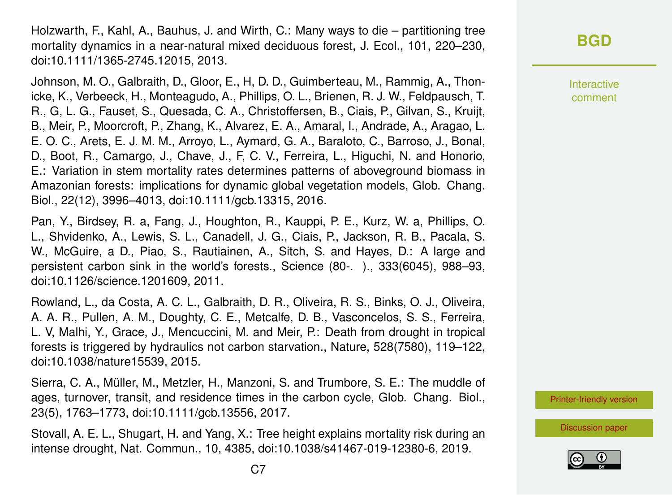Holzwarth, F., Kahl, A., Bauhus, J. and Wirth, C.: Many ways to die – partitioning tree mortality dynamics in a near-natural mixed deciduous forest, J. Ecol., 101, 220–230, doi:10.1111/1365-2745.12015, 2013.

Johnson, M. O., Galbraith, D., Gloor, E., H, D. D., Guimberteau, M., Rammig, A., Thonicke, K., Verbeeck, H., Monteagudo, A., Phillips, O. L., Brienen, R. J. W., Feldpausch, T. R., G, L. G., Fauset, S., Quesada, C. A., Christoffersen, B., Ciais, P., Gilvan, S., Kruijt, B., Meir, P., Moorcroft, P., Zhang, K., Alvarez, E. A., Amaral, I., Andrade, A., Aragao, L. E. O. C., Arets, E. J. M. M., Arroyo, L., Aymard, G. A., Baraloto, C., Barroso, J., Bonal, D., Boot, R., Camargo, J., Chave, J., F, C. V., Ferreira, L., Higuchi, N. and Honorio, E.: Variation in stem mortality rates determines patterns of aboveground biomass in Amazonian forests: implications for dynamic global vegetation models, Glob. Chang. Biol., 22(12), 3996–4013, doi:10.1111/gcb.13315, 2016.

Pan, Y., Birdsey, R. a, Fang, J., Houghton, R., Kauppi, P. E., Kurz, W. a, Phillips, O. L., Shvidenko, A., Lewis, S. L., Canadell, J. G., Ciais, P., Jackson, R. B., Pacala, S. W., McGuire, a D., Piao, S., Rautiainen, A., Sitch, S. and Hayes, D.: A large and persistent carbon sink in the world's forests., Science (80-. )., 333(6045), 988–93, doi:10.1126/science.1201609, 2011.

Rowland, L., da Costa, A. C. L., Galbraith, D. R., Oliveira, R. S., Binks, O. J., Oliveira, A. A. R., Pullen, A. M., Doughty, C. E., Metcalfe, D. B., Vasconcelos, S. S., Ferreira, L. V, Malhi, Y., Grace, J., Mencuccini, M. and Meir, P.: Death from drought in tropical forests is triggered by hydraulics not carbon starvation., Nature, 528(7580), 119–122, doi:10.1038/nature15539, 2015.

Sierra, C. A., Müller, M., Metzler, H., Manzoni, S. and Trumbore, S. E.: The muddle of ages, turnover, transit, and residence times in the carbon cycle, Glob. Chang. Biol., 23(5), 1763–1773, doi:10.1111/gcb.13556, 2017.

Stovall, A. E. L., Shugart, H. and Yang, X.: Tree height explains mortality risk during an intense drought, Nat. Commun., 10, 4385, doi:10.1038/s41467-019-12380-6, 2019.

**Interactive** comment

[Printer-friendly version](https://bg.copernicus.org/preprints/bg-2020-264/bg-2020-264-RC2-print.pdf)